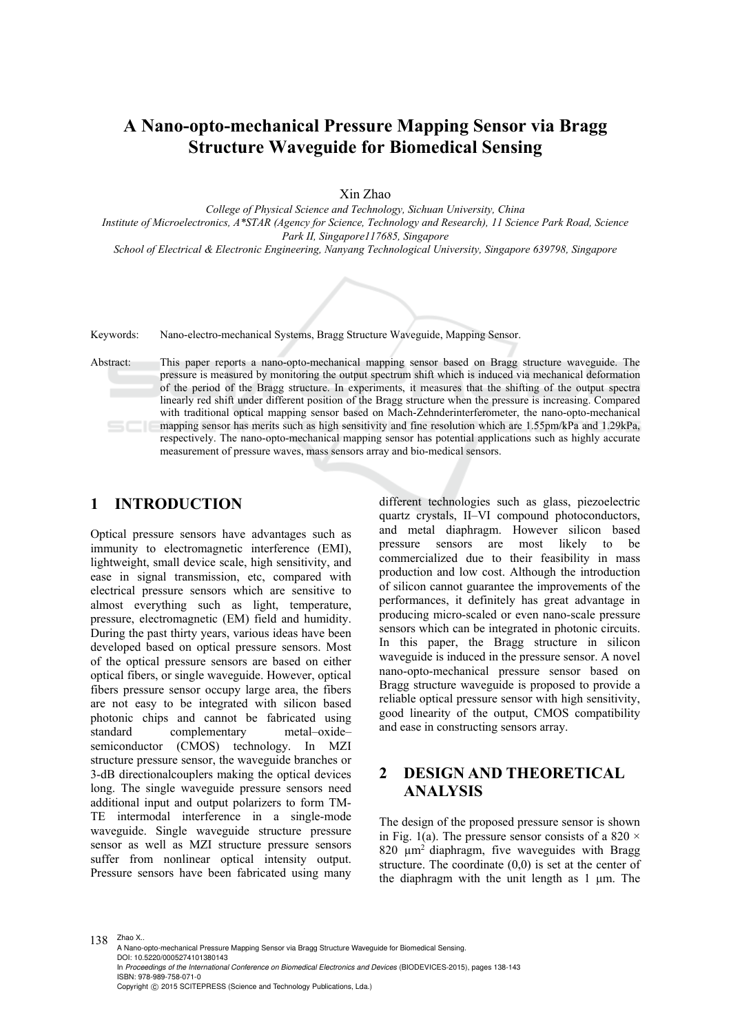# **A Nano-opto-mechanical Pressure Mapping Sensor via Bragg Structure Waveguide for Biomedical Sensing**

Xin Zhao

*College of Physical Science and Technology, Sichuan University, China Institute of Microelectronics, A\*STAR (Agency for Science, Technology and Research), 11 Science Park Road, Science Park II, Singapore117685, Singapore* 

*School of Electrical & Electronic Engineering, Nanyang Technological University, Singapore 639798, Singapore* 

Keywords: Nano-electro-mechanical Systems, Bragg Structure Waveguide, Mapping Sensor.

Abstract: This paper reports a nano-opto-mechanical mapping sensor based on Bragg structure waveguide. The pressure is measured by monitoring the output spectrum shift which is induced via mechanical deformation of the period of the Bragg structure. In experiments, it measures that the shifting of the output spectra linearly red shift under different position of the Bragg structure when the pressure is increasing. Compared with traditional optical mapping sensor based on Mach-Zehnderinterferometer, the nano-opto-mechanical mapping sensor has merits such as high sensitivity and fine resolution which are 1.55pm/kPa and 1.29kPa, respectively. The nano-opto-mechanical mapping sensor has potential applications such as highly accurate measurement of pressure waves, mass sensors array and bio-medical sensors.

### **1 INTRODUCTION**

Optical pressure sensors have advantages such as immunity to electromagnetic interference (EMI), lightweight, small device scale, high sensitivity, and ease in signal transmission, etc, compared with electrical pressure sensors which are sensitive to almost everything such as light, temperature, pressure, electromagnetic (EM) field and humidity. During the past thirty years, various ideas have been developed based on optical pressure sensors. Most of the optical pressure sensors are based on either optical fibers, or single waveguide. However, optical fibers pressure sensor occupy large area, the fibers are not easy to be integrated with silicon based photonic chips and cannot be fabricated using standard complementary metal–oxide– semiconductor (CMOS) technology. In MZI structure pressure sensor, the waveguide branches or 3-dB directionalcouplers making the optical devices long. The single waveguide pressure sensors need additional input and output polarizers to form TM-TE intermodal interference in a single-mode waveguide. Single waveguide structure pressure sensor as well as MZI structure pressure sensors suffer from nonlinear optical intensity output. Pressure sensors have been fabricated using many

different technologies such as glass, piezoelectric quartz crystals, II–VI compound photoconductors, and metal diaphragm. However silicon based pressure sensors are most likely to be commercialized due to their feasibility in mass production and low cost. Although the introduction of silicon cannot guarantee the improvements of the performances, it definitely has great advantage in producing micro-scaled or even nano-scale pressure sensors which can be integrated in photonic circuits. In this paper, the Bragg structure in silicon waveguide is induced in the pressure sensor. A novel nano-opto-mechanical pressure sensor based on Bragg structure waveguide is proposed to provide a reliable optical pressure sensor with high sensitivity, good linearity of the output, CMOS compatibility and ease in constructing sensors array.

# **2 DESIGN AND THEORETICAL ANALYSIS**

The design of the proposed pressure sensor is shown in Fig. 1(a). The pressure sensor consists of a 820  $\times$ 820  $\mu$ m<sup>2</sup> diaphragm, five waveguides with Bragg structure. The coordinate (0,0) is set at the center of the diaphragm with the unit length as 1 μm. The

138 Zhao X..

A Nano-opto-mechanical Pressure Mapping Sensor via Bragg Structure Waveguide for Biomedical Sensing. DOI: 10.5220/0005274101380143 In *Proceedings of the International Conference on Biomedical Electronics and Devices* (BIODEVICES-2015), pages 138-143 ISBN: 978-989-758-071-0 Copyright © 2015 SCITEPRESS (Science and Technology Publications, Lda.)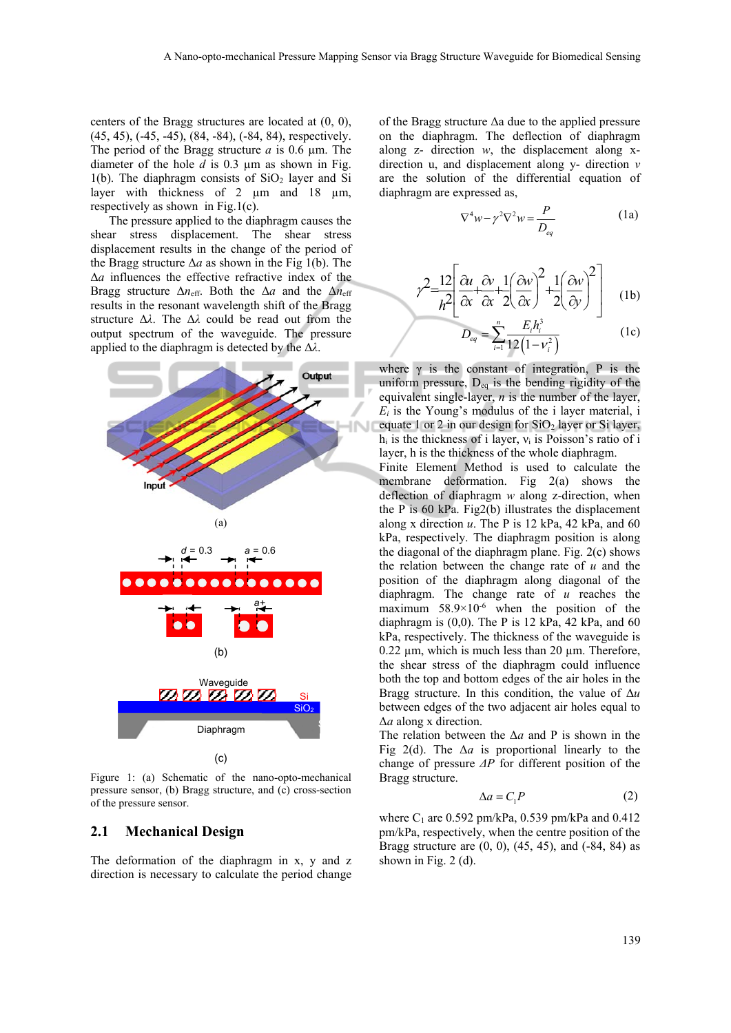l

centers of the Bragg structures are located at (0, 0), (45, 45), (-45, -45), (84, -84), (-84, 84), respectively. The period of the Bragg structure *a* is 0.6 µm. The diameter of the hole *d* is 0.3 µm as shown in Fig.  $1(b)$ . The diaphragm consists of  $SiO<sub>2</sub>$  layer and Si layer with thickness of 2 µm and 18 µm, respectively as shown in Fig.1(c).

The pressure applied to the diaphragm causes the shear stress displacement. The shear stress displacement results in the change of the period of the Bragg structure  $\Delta a$  as shown in the Fig 1(b). The Δ*a* influences the effective refractive index of the Bragg structure  $\Delta n_{\text{eff}}$ . Both the  $\Delta a$  and the  $\Delta n_{\text{eff}}$ results in the resonant wavelength shift of the Bragg structure Δ*λ*. The Δ*λ* could be read out from the output spectrum of the waveguide. The pressure applied to the diaphragm is detected by the Δ*λ*.



Figure 1: (a) Schematic of the nano-opto-mechanical pressure sensor, (b) Bragg structure, and (c) cross-section of the pressure sensor.

#### **2.1 Mechanical Design**

The deformation of the diaphragm in x, y and z direction is necessary to calculate the period change

of the Bragg structure Δa due to the applied pressure on the diaphragm. The deflection of diaphragm along z- direction *w*, the displacement along xdirection u, and displacement along y- direction *v* are the solution of the differential equation of diaphragm are expressed as,

$$
\nabla^4 w - \gamma^2 \nabla^2 w = \frac{P}{D_{eq}} \tag{1a}
$$

$$
\gamma^2 = \frac{12}{h^2} \left[ \frac{\partial u}{\partial x} + \frac{\partial v}{\partial x} + \frac{1}{2} \left( \frac{\partial w}{\partial x} \right)^2 + \frac{1}{2} \left( \frac{\partial w}{\partial y} \right)^2 \right] \quad (1b)
$$

$$
D_{eq} = \sum_{i=1}^{n} \frac{E_i h_i^3}{12(1 - v_i^2)}
$$
 (1c)

where  $\gamma$  is the constant of integration, P is the uniform pressure,  $D_{eq}$  is the bending rigidity of the equivalent single-layer, *n* is the number of the layer,  $E_i$  is the Young's modulus of the *i* layer material, *i* equate 1 or 2 in our design for  $SiO<sub>2</sub>$  layer or Si layer,  $h_i$  is the thickness of i layer,  $v_i$  is Poisson's ratio of i layer, h is the thickness of the whole diaphragm.

Finite Element Method is used to calculate the membrane deformation. Fig 2(a) shows the deflection of diaphragm *w* along z-direction, when the P is 60 kPa. Fig2(b) illustrates the displacement along x direction  $u$ . The P is 12 kPa, 42 kPa, and 60 kPa, respectively. The diaphragm position is along the diagonal of the diaphragm plane. Fig.  $2(c)$  shows the relation between the change rate of *u* and the position of the diaphragm along diagonal of the diaphragm. The change rate of *u* reaches the maximum  $58.9 \times 10^{-6}$  when the position of the diaphragm is  $(0,0)$ . The P is 12 kPa, 42 kPa, and 60 kPa, respectively. The thickness of the waveguide is  $0.22 \mu m$ , which is much less than 20  $\mu$ m. Therefore, the shear stress of the diaphragm could influence both the top and bottom edges of the air holes in the Bragg structure. In this condition, the value of Δ*u* between edges of the two adjacent air holes equal to Δ*a* along x direction.

The relation between the Δ*a* and P is shown in the Fig 2(d). The  $\Delta a$  is proportional linearly to the change of pressure *ΔP* for different position of the Bragg structure.

$$
\Delta a = C_1 P \tag{2}
$$

where  $C_1$  are 0.592 pm/kPa, 0.539 pm/kPa and 0.412 pm/kPa, respectively, when the centre position of the Bragg structure are  $(0, 0)$ ,  $(45, 45)$ , and  $(-84, 84)$  as shown in Fig. 2 (d).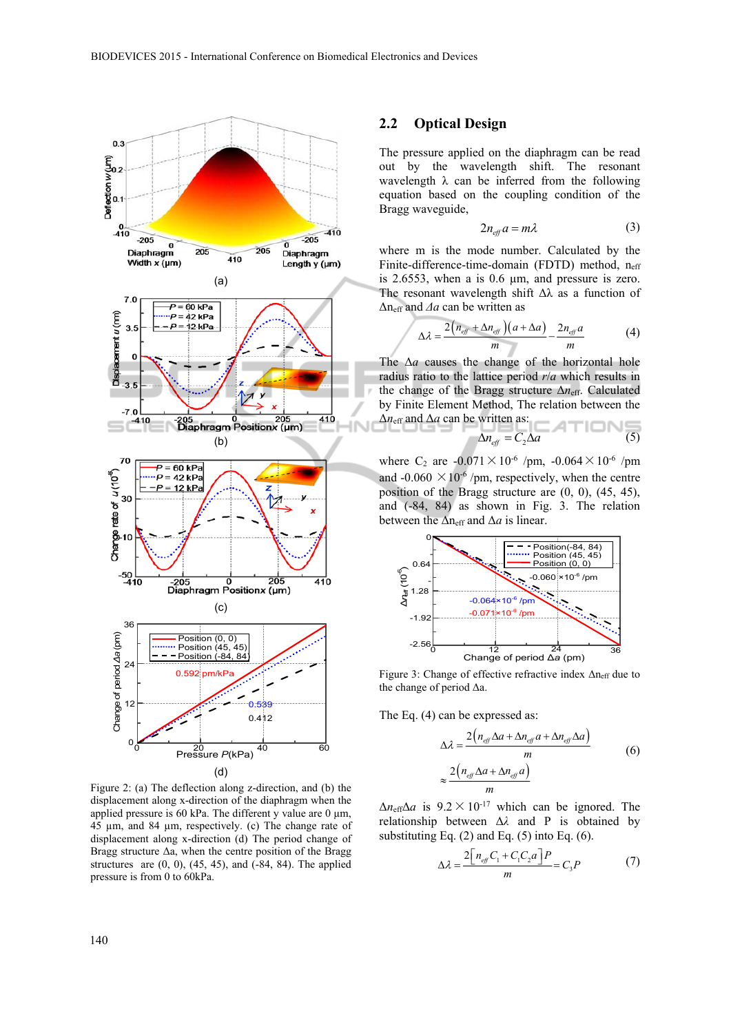

Figure 2: (a) The deflection along z-direction, and (b) the displacement along x-direction of the diaphragm when the applied pressure is 60 kPa. The different y value are 0  $\mu$ m, 45 µm, and 84 µm, respectively. (c) The change rate of displacement along x-direction (d) The period change of Bragg structure  $\Delta a$ , when the centre position of the Bragg structures are  $(0, 0)$ ,  $(45, 45)$ , and  $(-84, 84)$ . The applied pressure is from 0 to 60kPa.

#### **2.2 Optical Design**

The pressure applied on the diaphragm can be read out by the wavelength shift. The resonant wavelength  $\lambda$  can be inferred from the following equation based on the coupling condition of the Bragg waveguide,

$$
2n_{\text{eff}}a = m\lambda \tag{3}
$$

where m is the mode number. Calculated by the Finite-difference-time-domain (FDTD) method,  $n_{\text{eff}}$ is 2.6553, when a is  $0.6 \mu m$ , and pressure is zero. The resonant wavelength shift  $\Delta\lambda$  as a function of Δneff and *Δa* can be written as

$$
\Delta \lambda = \frac{2(n_{\text{eff}} + \Delta n_{\text{eff}})(a + \Delta a)}{m} - \frac{2n_{\text{eff}}a}{m} \tag{4}
$$

The Δ*a* causes the change of the horizontal hole radius ratio to the lattice period *r*/*a* which results in the change of the Bragg structure Δ*n*eff. Calculated by Finite Element Method, The relation between the Δ*n*eff and Δ*a* can be written as:

$$
\Delta n_{\text{eff}} = C_2 \Delta a \tag{5}
$$

where C<sub>2</sub> are  $-0.071 \times 10^{-6}$  /pm,  $-0.064 \times 10^{-6}$  /pm and -0.060  $\times$  10<sup>-6</sup> /pm, respectively, when the centre position of the Bragg structure are (0, 0), (45, 45), and (-84, 84) as shown in Fig. 3. The relation between the  $\Delta n_{\text{eff}}$  and  $\Delta a$  is linear.



Figure 3: Change of effective refractive index Δneff due to the change of period Δa.

The Eq. (4) can be expressed as:

$$
\Delta \lambda = \frac{2(n_{\text{eff}}\Delta a + \Delta n_{\text{eff}}a + \Delta n_{\text{eff}}\Delta a)}{m}
$$
\n
$$
\approx \frac{2(n_{\text{eff}}\Delta a + \Delta n_{\text{eff}}a)}{m}
$$
\n(6)

 $\Delta n_{\text{eff}}\Delta a$  is  $9.2 \times 10^{-17}$  which can be ignored. The relationship between Δ*λ* and P is obtained by substituting Eq. (2) and Eq. (5) into Eq. (6).

$$
\Delta \lambda = \frac{2\left[n_{\text{eff}}C_1 + C_1C_2a\right]P}{m} = C_3P\tag{7}
$$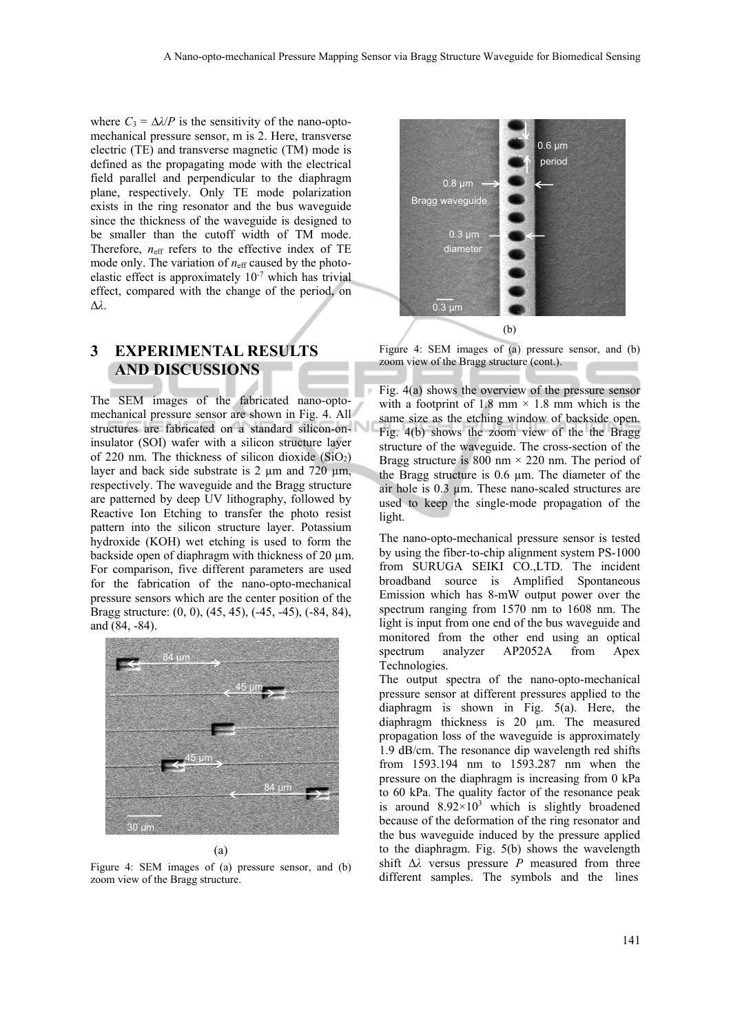where  $C_3 = \Delta \lambda / P$  is the sensitivity of the nano-optomechanical pressure sensor, m is 2. Here, transverse electric (TE) and transverse magnetic (TM) mode is defined as the propagating mode with the electrical field parallel and perpendicular to the diaphragm plane, respectively. Only TE mode polarization exists in the ring resonator and the bus waveguide since the thickness of the waveguide is designed to be smaller than the cutoff width of TM mode. Therefore,  $n_{\text{eff}}$  refers to the effective index of TE mode only. The variation of  $n_{\text{eff}}$  caused by the photoelastic effect is approximately 10-7 which has trivial effect, compared with the change of the period, on Δ*λ*.

## **3 EXPERIMENTAL RESULTS AND DISCUSSIONS**

The SEM images of the fabricated nano-optomechanical pressure sensor are shown in Fig. 4. All structures are fabricated on a standard silicon-oninsulator (SOI) wafer with a silicon structure layer of 220 nm. The thickness of silicon dioxide  $(SiO<sub>2</sub>)$ layer and back side substrate is 2  $\mu$ m and 720  $\mu$ m, respectively. The waveguide and the Bragg structure are patterned by deep UV lithography, followed by Reactive Ion Etching to transfer the photo resist pattern into the silicon structure layer. Potassium hydroxide (KOH) wet etching is used to form the backside open of diaphragm with thickness of 20  $\mu$ m. For comparison, five different parameters are used for the fabrication of the nano-opto-mechanical pressure sensors which are the center position of the Bragg structure: (0, 0), (45, 45), (-45, -45), (-84, 84), and (84, -84).



(a)

Figure 4: SEM images of (a) pressure sensor, and (b) zoom view of the Bragg structure.



Figure 4: SEM images of (a) pressure sensor, and (b) zoom view of the Bragg structure (cont.).

Fig. 4(a) shows the overview of the pressure sensor with a footprint of 1.8 mm  $\times$  1.8 mm which is the same size as the etching window of backside open. Fig. 4(b) shows the zoom view of the the Bragg structure of the waveguide. The cross-section of the Bragg structure is 800 nm  $\times$  220 nm. The period of the Bragg structure is 0.6 µm. The diameter of the air hole is 0.3 µm. These nano-scaled structures are used to keep the single-mode propagation of the light.

The nano-opto-mechanical pressure sensor is tested by using the fiber-to-chip alignment system PS-1000 from SURUGA SEIKI CO.,LTD. The incident broadband source is Amplified Spontaneous Emission which has 8-mW output power over the spectrum ranging from 1570 nm to 1608 nm. The light is input from one end of the bus waveguide and monitored from the other end using an optical spectrum analyzer AP2052A from Apex Technologies.

The output spectra of the nano-opto-mechanical pressure sensor at different pressures applied to the diaphragm is shown in Fig. 5(a). Here, the diaphragm thickness is 20 µm. The measured propagation loss of the waveguide is approximately 1.9 dB/cm. The resonance dip wavelength red shifts from 1593.194 nm to 1593.287 nm when the pressure on the diaphragm is increasing from 0 kPa to 60 kPa. The quality factor of the resonance peak is around  $8.92 \times 10^3$  which is slightly broadened because of the deformation of the ring resonator and the bus waveguide induced by the pressure applied to the diaphragm. Fig. 5(b) shows the wavelength shift Δ*λ* versus pressure *P* measured from three different samples. The symbols and the lines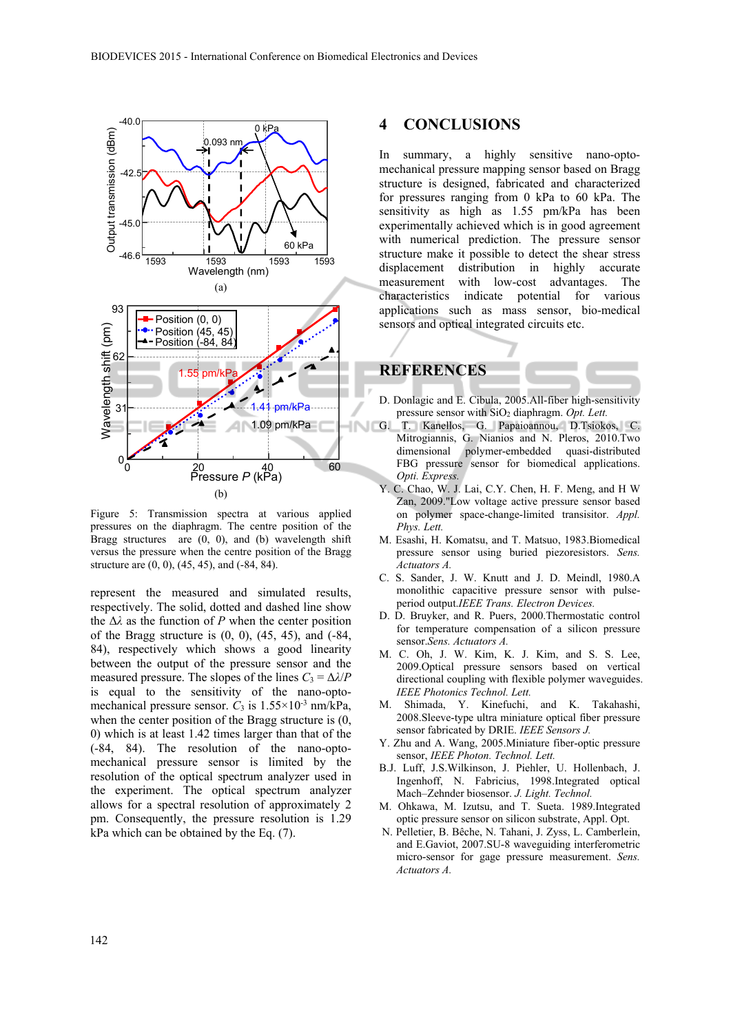

Figure 5: Transmission spectra at various applied pressures on the diaphragm. The centre position of the Bragg structures are (0, 0), and (b) wavelength shift versus the pressure when the centre position of the Bragg structure are (0, 0), (45, 45), and (-84, 84).

represent the measured and simulated results, respectively. The solid, dotted and dashed line show the  $\Delta\lambda$  as the function of *P* when the center position of the Bragg structure is  $(0, 0)$ ,  $(45, 45)$ , and  $(-84, 10)$ 84), respectively which shows a good linearity between the output of the pressure sensor and the measured pressure. The slopes of the lines  $C_3 = \Delta \lambda / P$ is equal to the sensitivity of the nano-optomechanical pressure sensor.  $C_3$  is  $1.55 \times 10^{-3}$  nm/kPa, when the center position of the Bragg structure is (0, 0) which is at least 1.42 times larger than that of the (-84, 84). The resolution of the nano-optomechanical pressure sensor is limited by the resolution of the optical spectrum analyzer used in the experiment. The optical spectrum analyzer allows for a spectral resolution of approximately 2 pm. Consequently, the pressure resolution is 1.29 kPa which can be obtained by the Eq. (7).

#### **4 CONCLUSIONS**

In summary, a highly sensitive nano-optomechanical pressure mapping sensor based on Bragg structure is designed, fabricated and characterized for pressures ranging from 0 kPa to 60 kPa. The sensitivity as high as 1.55 pm/kPa has been experimentally achieved which is in good agreement with numerical prediction. The pressure sensor structure make it possible to detect the shear stress displacement distribution in highly accurate measurement with low-cost advantages. The characteristics indicate potential for various applications such as mass sensor, bio-medical sensors and optical integrated circuits etc.

# **REFERENCES**

- D. Donlagic and E. Cibula, 2005.All-fiber high-sensitivity pressure sensor with SiO2 diaphragm. *Opt. Lett.*
- G. T. Kanellos, G. Papaioannou, D.Tsiokos, C. Mitrogiannis, G. Nianios and N. Pleros, 2010.Two dimensional polymer-embedded quasi-distributed FBG pressure sensor for biomedical applications. *Opti. Express.*
- Y. C. Chao, W. J. Lai, C.Y. Chen, H. F. Meng, and H W Zan, 2009."Low voltage active pressure sensor based on polymer space-change-limited transisitor. *Appl. Phys. Lett.*
- M. Esashi, H. Komatsu, and T. Matsuo, 1983.Biomedical pressure sensor using buried piezoresistors. *Sens. Actuators A.*
- C. S. Sander, J. W. Knutt and J. D. Meindl, 1980.A monolithic capacitive pressure sensor with pulseperiod output.*IEEE Trans. Electron Devices.*
- D. D. Bruyker, and R. Puers, 2000.Thermostatic control for temperature compensation of a silicon pressure sensor.*Sens. Actuators A.*
- M. C. Oh, J. W. Kim, K. J. Kim, and S. S. Lee, 2009.Optical pressure sensors based on vertical directional coupling with flexible polymer waveguides. *IEEE Photonics Technol. Lett.*
- M. Shimada, Y. Kinefuchi, and K. Takahashi, 2008.Sleeve-type ultra miniature optical fiber pressure sensor fabricated by DRIE. *IEEE Sensors J.*
- Y. Zhu and A. Wang, 2005.Miniature fiber-optic pressure sensor, *IEEE Photon. Technol. Lett.*
- B.J. Luff, J.S.Wilkinson, J. Piehler, U. Hollenbach, J. Ingenhoff, N. Fabricius, 1998.Integrated optical Mach–Zehnder biosensor. *J. Light. Technol.*
- M. Ohkawa, M. Izutsu, and T. Sueta. 1989.Integrated optic pressure sensor on silicon substrate, Appl. Opt.
- N. Pelletier, B. Bêche, N. Tahani, J. Zyss, L. Camberlein, and E.Gaviot, 2007.SU-8 waveguiding interferometric micro-sensor for gage pressure measurement. *Sens. Actuators A.*